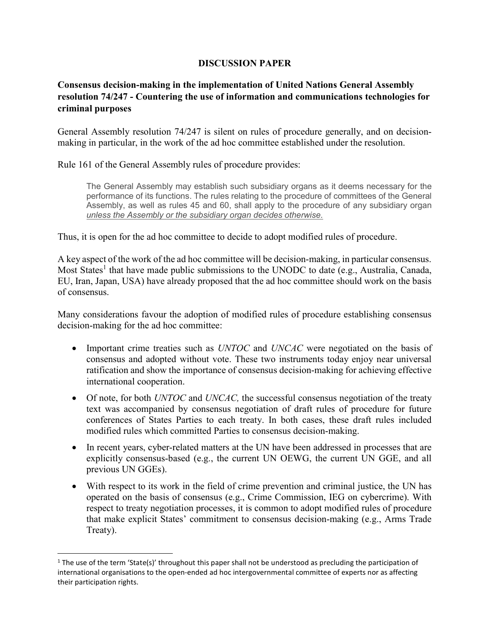## DISCUSSION PAPER

## Consensus decision-making in the implementation of United Nations General Assembly resolution 74/247 - Countering the use of information and communications technologies for criminal purposes

General Assembly resolution 74/247 is silent on rules of procedure generally, and on decisionmaking in particular, in the work of the ad hoc committee established under the resolution.

Rule 161 of the General Assembly rules of procedure provides:

The General Assembly may establish such subsidiary organs as it deems necessary for the performance of its functions. The rules relating to the procedure of committees of the General Assembly, as well as rules 45 and 60, shall apply to the procedure of any subsidiary organ unless the Assembly or the subsidiary organ decides otherwise.

Thus, it is open for the ad hoc committee to decide to adopt modified rules of procedure.

A key aspect of the work of the ad hoc committee will be decision-making, in particular consensus. Most States<sup>1</sup> that have made public submissions to the UNODC to date (e.g., Australia, Canada, EU, Iran, Japan, USA) have already proposed that the ad hoc committee should work on the basis of consensus.

Many considerations favour the adoption of modified rules of procedure establishing consensus decision-making for the ad hoc committee:

- Important crime treaties such as UNTOC and UNCAC were negotiated on the basis of consensus and adopted without vote. These two instruments today enjoy near universal ratification and show the importance of consensus decision-making for achieving effective international cooperation.
- $\bullet$  Of note, for both UNTOC and UNCAC, the successful consensus negotiation of the treaty text was accompanied by consensus negotiation of draft rules of procedure for future conferences of States Parties to each treaty. In both cases, these draft rules included modified rules which committed Parties to consensus decision-making.
- In recent years, cyber-related matters at the UN have been addressed in processes that are explicitly consensus-based (e.g., the current UN OEWG, the current UN GGE, and all previous UN GGEs).
- With respect to its work in the field of crime prevention and criminal justice, the UN has operated on the basis of consensus (e.g., Crime Commission, IEG on cybercrime). With respect to treaty negotiation processes, it is common to adopt modified rules of procedure that make explicit States' commitment to consensus decision-making (e.g., Arms Trade Treaty).

 $\overline{a}$ 

 $1$  The use of the term 'State(s)' throughout this paper shall not be understood as precluding the participation of international organisations to the open-ended ad hoc intergovernmental committee of experts nor as affecting their participation rights.